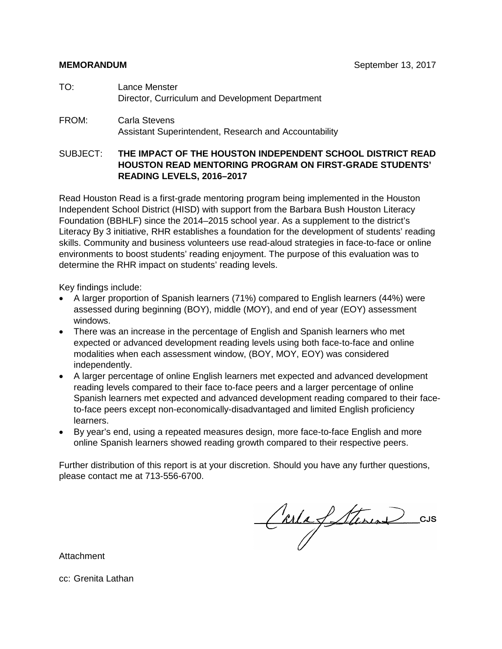- TO: Lance Menster Director, Curriculum and Development Department
- FROM: Carla Stevens Assistant Superintendent, Research and Accountability

### SUBJECT: **THE IMPACT OF THE HOUSTON INDEPENDENT SCHOOL DISTRICT READ HOUSTON READ MENTORING PROGRAM ON FIRST-GRADE STUDENTS' READING LEVELS, 2016–2017**

Read Houston Read is a first-grade mentoring program being implemented in the Houston Independent School District (HISD) with support from the Barbara Bush Houston Literacy Foundation (BBHLF) since the 2014–2015 school year. As a supplement to the district's Literacy By 3 initiative, RHR establishes a foundation for the development of students' reading skills. Community and business volunteers use read-aloud strategies in face-to-face or online environments to boost students' reading enjoyment. The purpose of this evaluation was to determine the RHR impact on students' reading levels.

Key findings include:

- A larger proportion of Spanish learners (71%) compared to English learners (44%) were assessed during beginning (BOY), middle (MOY), and end of year (EOY) assessment windows.
- There was an increase in the percentage of English and Spanish learners who met expected or advanced development reading levels using both face-to-face and online modalities when each assessment window, (BOY, MOY, EOY) was considered independently.
- A larger percentage of online English learners met expected and advanced development reading levels compared to their face to-face peers and a larger percentage of online Spanish learners met expected and advanced development reading compared to their faceto-face peers except non-economically-disadvantaged and limited English proficiency learners.
- By year's end, using a repeated measures design, more face-to-face English and more online Spanish learners showed reading growth compared to their respective peers.

Further distribution of this report is at your discretion. Should you have any further questions, please contact me at 713-556-6700.

Carla Stevens CUS

Attachment

cc: Grenita Lathan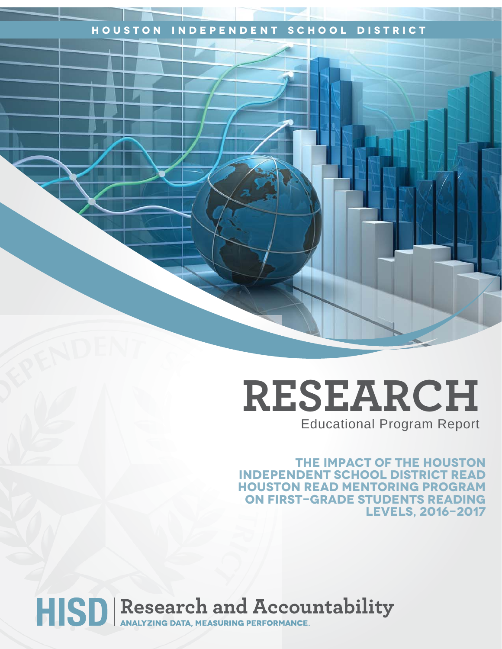## **Houston Independent School District**

# **RESEARCH** Educational Program Report

**The Impact of the houston independent school District Read Houston Read Mentoring Program on First-Grade Students Reading Levels, 2016-2017**

HISD Research and Accountability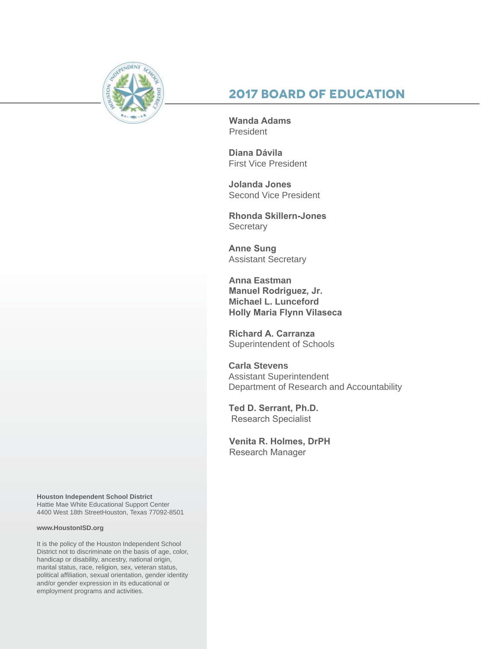

## **2017 Board of Education**

**Wanda Adams President** 

**Diana Dávila**  First Vice President

**Jolanda Jones**  Second Vice President

**Rhonda Skillern-Jones Secretary** 

**Anne Sung** Assistant Secretary

**Anna Eastman Manuel Rodriguez, Jr. Michael L. Lunceford Holly Maria Flynn Vilaseca**

**Richard A. Carranza** Superintendent of Schools

**Carla Stevens** Assistant Superintendent Department of Research and Accountability

**Ted D. Serrant, Ph.D.** Research Specialist

**Venita R. Holmes, DrPH**  Research Manager

**Houston Independent School District** Hattie Mae White Educational Support Center 4400 West 18th StreetHouston, Texas 77092-8501

#### **www.HoustonISD.org**

It is the policy of the Houston Independent School District not to discriminate on the basis of age, color, handicap or disability, ancestry, national origin, marital status, race, religion, sex, veteran status, political affiliation, sexual orientation, gender identity and/or gender expression in its educational or employment programs and activities.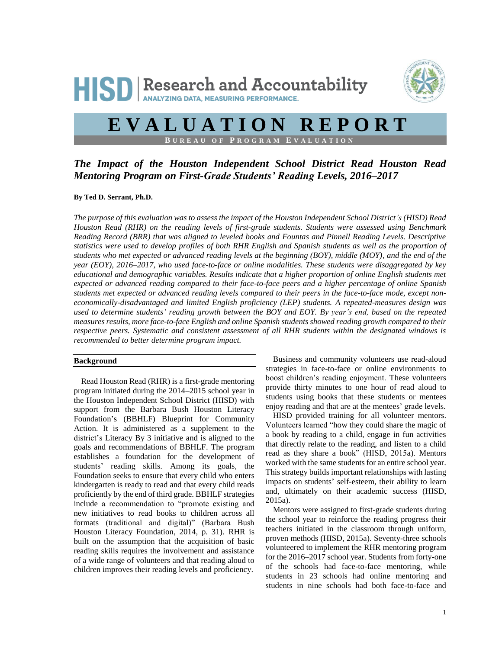

## **E V A L U A T I O N R E P O R T B U R E A U O F P R O G R A M E V A L U A T I O N**

*The Impact of the Houston Independent School District Read Houston Read Mentoring Program on First-Grade Students' Reading Levels, 2016–2017*

**By Ted D. Serrant, Ph.D.**

*The purpose of this evaluation was to assess the impact of the Houston Independent School District's (HISD) Read Houston Read (RHR) on the reading levels of first-grade students. Students were assessed using Benchmark Reading Record (BRR) that was aligned to leveled books and Fountas and Pinnell Reading Levels. Descriptive statistics were used to develop profiles of both RHR English and Spanish students as well as the proportion of students who met expected or advanced reading levels at the beginning (BOY), middle (MOY), and the end of the year (EOY), 2016–2017, who used face-to-face or online modalities. These students were disaggregated by key educational and demographic variables. Results indicate that a higher proportion of online English students met expected or advanced reading compared to their face-to-face peers and a higher percentage of online Spanish students met expected or advanced reading levels compared to their peers in the face-to-face mode, except noneconomically-disadvantaged and limited English proficiency (LEP) students. A repeated-measures design was used to determine students' reading growth between the BOY and EOY. By year's end, based on the repeated measures results, more face-to-face English and online Spanish students showed reading growth compared to their respective peers. Systematic and consistent assessment of all RHR students within the designated windows is recommended to better determine program impact.*

#### **Background**

Read Houston Read (RHR) is a first-grade mentoring program initiated during the 2014–2015 school year in the Houston Independent School District (HISD) with support from the Barbara Bush Houston Literacy Foundation's (BBHLF) Blueprint for Community Action. It is administered as a supplement to the district's Literacy By 3 initiative and is aligned to the goals and recommendations of BBHLF. The program establishes a foundation for the development of students' reading skills. Among its goals, the Foundation seeks to ensure that every child who enters kindergarten is ready to read and that every child reads proficiently by the end of third grade. BBHLF strategies include a recommendation to "promote existing and new initiatives to read books to children across all formats (traditional and digital)" (Barbara Bush Houston Literacy Foundation, 2014, p. 31). RHR is built on the assumption that the acquisition of basic reading skills requires the involvement and assistance of a wide range of volunteers and that reading aloud to children improves their reading levels and proficiency.

Business and community volunteers use read-aloud strategies in face-to-face or online environments to boost children's reading enjoyment. These volunteers provide thirty minutes to one hour of read aloud to students using books that these students or mentees enjoy reading and that are at the mentees' grade levels.

HISD provided training for all volunteer mentors. Volunteers learned "how they could share the magic of a book by reading to a child, engage in fun activities that directly relate to the reading, and listen to a child read as they share a book" (HISD, 2015a). Mentors worked with the same students for an entire school year. This strategy builds important relationships with lasting impacts on students' self-esteem, their ability to learn and, ultimately on their academic success (HISD, 2015a).

Mentors were assigned to first-grade students during the school year to reinforce the reading progress their teachers initiated in the classroom through uniform, proven methods (HISD, 2015a). Seventy-three schools volunteered to implement the RHR mentoring program for the 2016–2017 school year. Students from forty-one of the schools had face-to-face mentoring, while students in 23 schools had online mentoring and students in nine schools had both face-to-face and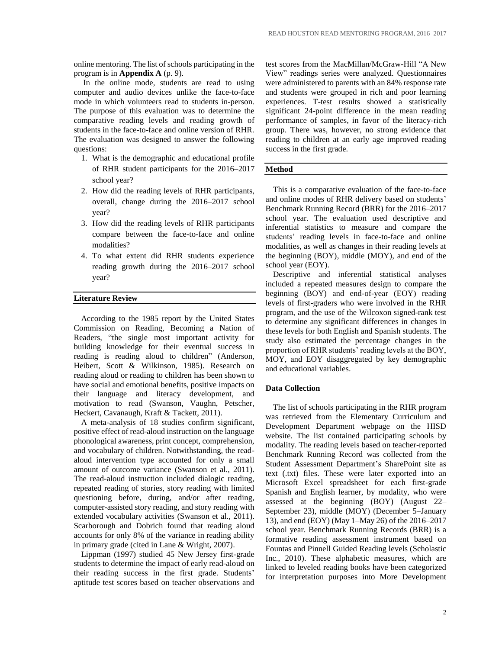online mentoring. The list of schools participating in the program is in **Appendix A** (p. 9).

In the online mode, students are read to using computer and audio devices unlike the face-to-face mode in which volunteers read to students in-person. The purpose of this evaluation was to determine the comparative reading levels and reading growth of students in the face-to-face and online version of RHR. The evaluation was designed to answer the following questions:

- 1. What is the demographic and educational profile of RHR student participants for the 2016–2017 school year?
- 2. How did the reading levels of RHR participants, overall, change during the 2016–2017 school year?
- 3. How did the reading levels of RHR participants compare between the face-to-face and online modalities?
- 4. To what extent did RHR students experience reading growth during the 2016–2017 school year?

#### **Literature Review**

According to the 1985 report by the United States Commission on Reading, Becoming a Nation of Readers, "the single most important activity for building knowledge for their eventual success in reading is reading aloud to children" (Anderson, Heibert, Scott & Wilkinson, 1985). Research on reading aloud or reading to children has been shown to have social and emotional benefits, positive impacts on their language and literacy development, and motivation to read (Swanson, Vaughn, Petscher, Heckert, Cavanaugh, Kraft & Tackett, 2011).

A meta-analysis of 18 studies confirm significant, positive effect of read-aloud instruction on the language phonological awareness, print concept, comprehension, and vocabulary of children. Notwithstanding, the readaloud intervention type accounted for only a small amount of outcome variance (Swanson et al., 2011). The read-aloud instruction included dialogic reading, repeated reading of stories, story reading with limited questioning before, during, and/or after reading, computer-assisted story reading, and story reading with extended vocabulary activities (Swanson et al., 2011). Scarborough and Dobrich found that reading aloud accounts for only 8% of the variance in reading ability in primary grade (cited in Lane & Wright, 2007).

Lippman (1997) studied 45 New Jersey first-grade students to determine the impact of early read-aloud on their reading success in the first grade. Students' aptitude test scores based on teacher observations and test scores from the MacMillan/McGraw-Hill "A New View" readings series were analyzed. Questionnaires were administered to parents with an 84% response rate and students were grouped in rich and poor learning experiences. T-test results showed a statistically significant 24-point difference in the mean reading performance of samples, in favor of the literacy-rich group. There was, however, no strong evidence that reading to children at an early age improved reading success in the first grade.

#### **Method**

This is a comparative evaluation of the face-to-face and online modes of RHR delivery based on students' Benchmark Running Record (BRR) for the 2016–2017 school year. The evaluation used descriptive and inferential statistics to measure and compare the students' reading levels in face-to-face and online modalities, as well as changes in their reading levels at the beginning (BOY), middle (MOY), and end of the school year (EOY).

Descriptive and inferential statistical analyses included a repeated measures design to compare the beginning (BOY) and end-of-year (EOY) reading levels of first-graders who were involved in the RHR program, and the use of the Wilcoxon signed-rank test to determine any significant differences in changes in these levels for both English and Spanish students. The study also estimated the percentage changes in the proportion of RHR students' reading levels at the BOY, MOY, and EOY disaggregated by key demographic and educational variables.

#### **Data Collection**

The list of schools participating in the RHR program was retrieved from the Elementary Curriculum and Development Department webpage on the HISD website. The list contained participating schools by modality. The reading levels based on teacher-reported Benchmark Running Record was collected from the Student Assessment Department's SharePoint site as text (.txt) files. These were later exported into an Microsoft Excel spreadsheet for each first-grade Spanish and English learner, by modality, who were assessed at the beginning (BOY) (August 22– September 23), middle (MOY) (December 5–January 13), and end (EOY) (May 1–May 26) of the 2016–2017 school year. Benchmark Running Records (BRR) is a formative reading assessment instrument based on Fountas and Pinnell Guided Reading levels (Scholastic Inc., 2010). These alphabetic measures, which are linked to leveled reading books have been categorized for interpretation purposes into More Development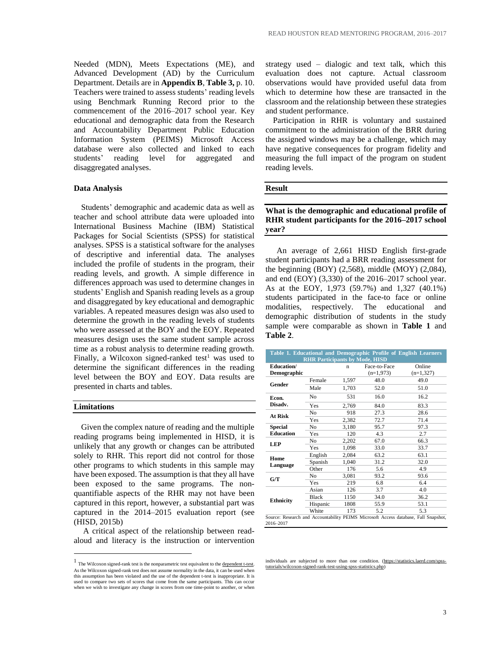Needed (MDN), Meets Expectations (ME), and Advanced Development (AD) by the Curriculum Department. Details are in **Appendix B**, **Table 3,** p. 10. Teachers were trained to assess students' reading levels using Benchmark Running Record prior to the commencement of the 2016–2017 school year. Key educational and demographic data from the Research and Accountability Department Public Education Information System (PEIMS) Microsoft Access database were also collected and linked to each students' reading level for aggregated and disaggregated analyses.

#### **Data Analysis**

Students' demographic and academic data as well as teacher and school attribute data were uploaded into International Business Machine (IBM) Statistical Packages for Social Scientists (SPSS) for statistical analyses. SPSS is a statistical software for the analyses of descriptive and inferential data. The analyses included the profile of students in the program, their reading levels, and growth. A simple difference in differences approach was used to determine changes in students' English and Spanish reading levels as a group and disaggregated by key educational and demographic variables. A repeated measures design was also used to determine the growth in the reading levels of students who were assessed at the BOY and the EOY. Repeated measures design uses the same student sample across time as a robust analysis to determine reading growth. Finally, a Wilcoxon signed-ranked test<sup>1</sup> was used to determine the significant differences in the reading level between the BOY and EOY. Data results are presented in charts and tables.

#### **Limitations**

 $\overline{a}$ 

Given the complex nature of reading and the multiple reading programs being implemented in HISD, it is unlikely that any growth or changes can be attributed solely to RHR. This report did not control for those other programs to which students in this sample may have been exposed. The assumption is that they all have been exposed to the same programs. The nonquantifiable aspects of the RHR may not have been captured in this report, however, a substantial part was captured in the 2014–2015 evaluation report (see (HISD, 2015b)

A critical aspect of the relationship between readaloud and literacy is the instruction or intervention strategy used – dialogic and text talk, which this evaluation does not capture. Actual classroom observations would have provided useful data from which to determine how these are transacted in the classroom and the relationship between these strategies and student performance.

Participation in RHR is voluntary and sustained commitment to the administration of the BRR during the assigned windows may be a challenge, which may have negative consequences for program fidelity and measuring the full impact of the program on student reading levels.

#### **Result**

#### **What is the demographic and educational profile of RHR student participants for the 2016–2017 school year?**

An average of 2,661 HISD English first-grade student participants had a BRR reading assessment for the beginning (BOY) (2,568), middle (MOY) (2,084), and end (EOY) (3,330) of the 2016–2017 school year. As at the EOY, 1,973 (59.7%) and 1,327 (40.1%) students participated in the face-to face or online modalities, respectively. The educational and demographic distribution of students in the study sample were comparable as shown in **Table 1** and **Table 2**.

|                                  | <b>RHR Participants by Mode, HISD</b> |       |                             | Table 1. Educational and Demographic Profile of English Learners                    |
|----------------------------------|---------------------------------------|-------|-----------------------------|-------------------------------------------------------------------------------------|
| Education/<br><b>Demographic</b> |                                       | n     | Face-to-Face<br>$(n=1,973)$ | Online<br>$(n=1,327)$                                                               |
|                                  | Female                                | 1,597 | 48.0                        | 49.0                                                                                |
| Gender                           | Male                                  | 1,703 | 52.0                        | 51.0                                                                                |
| Econ.                            | N <sub>0</sub>                        | 531   | 16.0                        | 16.2                                                                                |
| Disadv.                          | Yes                                   | 2,769 | 84.0                        | 83.3                                                                                |
| <b>At Risk</b>                   | No.                                   | 918   | 27.3                        | 28.6                                                                                |
|                                  | Yes                                   | 2,382 | 72.7                        | 71.4                                                                                |
| Special                          | N <sub>0</sub>                        | 3.180 | 95.7                        | 97.3                                                                                |
| <b>Education</b>                 | Yes                                   | 120   | 4.3                         | 2.7                                                                                 |
| <b>LEP</b>                       | N <sub>0</sub>                        | 2,202 | 67.0                        | 66.3                                                                                |
|                                  | Yes                                   | 1,098 | 33.0                        | 33.7                                                                                |
| Home                             | English                               | 2.084 | 63.2                        | 63.1                                                                                |
| Language                         | Spanish                               | 1.040 | 31.2                        | 32.0                                                                                |
|                                  | Other                                 | 176   | 5.6                         | 4.9                                                                                 |
| G/T                              | N <sub>0</sub>                        | 3.081 | 93.2                        | 93.6                                                                                |
|                                  | Yes                                   | 219   | 6.8                         | 6.4                                                                                 |
|                                  | Asian                                 | 126   | 3.7                         | 4.0                                                                                 |
| <b>Ethnicity</b>                 | <b>Black</b>                          | 1150  | 34.0                        | 36.2                                                                                |
|                                  | Hispanic                              | 1808  | 55.9                        | 53.1                                                                                |
|                                  | White                                 | 173   | 5.2                         | 5.3                                                                                 |
| 2016-2017                        |                                       |       |                             | Source: Research and Accountability PEIMS Microsoft Access database, Fall Snapshot, |

individuals are subjected to more than one condition. [\(https://statistics.laerd.com/spss](https://statistics.laerd.com/spss-tutorials/wilcoxon-signed-rank-test-using-spss-statistics.php)[tutorials/wilcoxon-signed-rank-test-using-spss-statistics.php\)](https://statistics.laerd.com/spss-tutorials/wilcoxon-signed-rank-test-using-spss-statistics.php)

<sup>&</sup>lt;sup>1</sup> The Wilcoxon signed-rank test is the nonparametric test equivalent to the dependent t-test. As the Wilcoxon signed-rank test does not assume normality in the data, it can be used when this assumption has been violated and the use of the dependent t-test is inappropriate. It is used to compare two sets of scores that come from the same participants. This can occur when we wish to investigate any change in scores from one time-point to another, or when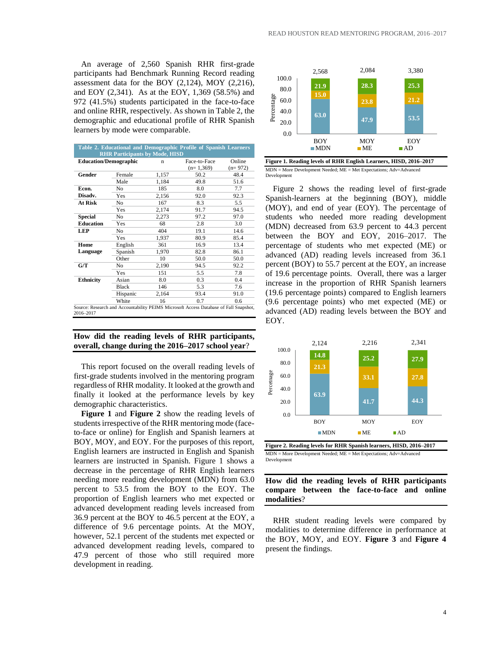An average of 2,560 Spanish RHR first-grade participants had Benchmark Running Record reading assessment data for the BOY (2,124), MOY (2,216), and EOY (2,341). As at the EOY, 1,369 (58.5%) and 972 (41.5%) students participated in the face-to-face and online RHR, respectively. As shown in Table 2, the demographic and educational profile of RHR Spanish learners by mode were comparable.

|                              |              |                                       | Table 2. Educational and Demographic Profile of Spanish Learners                      |           |
|------------------------------|--------------|---------------------------------------|---------------------------------------------------------------------------------------|-----------|
|                              |              | <b>RHR Participants by Mode, HISD</b> |                                                                                       |           |
| <b>Education/Demographic</b> |              | n                                     | Face-to-Face                                                                          | Online    |
|                              |              |                                       | $(n=1,369)$                                                                           | $(n=972)$ |
| Gender                       | Female       | 1,157                                 | 50.2                                                                                  | 48.4      |
|                              | Male         | 1,184                                 | 49.8                                                                                  | 51.6      |
| Econ.                        | No           | 185                                   | 8.0                                                                                   | 7.7       |
| Disadv.                      | Yes          | 2.156                                 | 92.0                                                                                  | 92.3      |
| At Risk                      | No           | 167                                   | 8.3                                                                                   | 5.5       |
|                              | Yes          | 2,174                                 | 91.7                                                                                  | 94.5      |
| <b>Special</b>               | No           | 2,273                                 | 97.2                                                                                  | 97.0      |
| <b>Education</b>             | Yes          | 68                                    | 2.8                                                                                   | 3.0       |
| <b>LEP</b>                   | No           | 404                                   | 19.1                                                                                  | 14.6      |
|                              | Yes          | 1,937                                 | 80.9                                                                                  | 85.4      |
| Home                         | English      | 361                                   | 16.9                                                                                  | 13.4      |
| Language                     | Spanish      | 1,970                                 | 82.8                                                                                  | 86.1      |
|                              | Other        | 10                                    | 50.0                                                                                  | 50.0      |
| G/T                          | No           | 2,190                                 | 94.5                                                                                  | 92.2      |
|                              | Yes          | 151                                   | 5.5                                                                                   | 7.8       |
| <b>Ethnicity</b>             | Asian        | 8.0                                   | 0.3                                                                                   | 0.4       |
|                              | <b>Black</b> | 146                                   | 5.3                                                                                   | 7.6       |
|                              | Hispanic     | 2,164                                 | 93.4                                                                                  | 91.0      |
|                              | White        | 16                                    | 0.7                                                                                   | 0.6       |
| 2016-2017                    |              |                                       | Source: Research and Accountability PEIMS Microsoft Access Database of Fall Snapshot, |           |

#### **How did the reading levels of RHR participants, overall, change during the 2016–2017 school year**?

This report focused on the overall reading levels of first-grade students involved in the mentoring program regardless of RHR modality. It looked at the growth and finally it looked at the performance levels by key demographic characteristics.

**Figure 1** and **Figure 2** show the reading levels of students irrespective of the RHR mentoring mode (faceto-face or online) for English and Spanish learners at BOY, MOY, and EOY. For the purposes of this report, English learners are instructed in English and Spanish learners are instructed in Spanish. Figure 1 shows a decrease in the percentage of RHR English learners needing more reading development (MDN) from 63.0 percent to 53.5 from the BOY to the EOY. The proportion of English learners who met expected or advanced development reading levels increased from 36.9 percent at the BOY to 46.5 percent at the EOY, a difference of 9.6 percentage points. At the MOY, however, 52.1 percent of the students met expected or advanced development reading levels, compared to 47.9 percent of those who still required more development in reading.



**Figure 1. Reading levels of RHR English Learners, HISD, 2016–2017** MDN = More Development Needed; ME = Met Expectations; Adv=Advanced Development

Figure 2 shows the reading level of first-grade Spanish-learners at the beginning (BOY), middle (MOY), and end of year (EOY). The percentage of students who needed more reading development (MDN) decreased from 63.9 percent to 44.3 percent between the BOY and EOY, 2016–2017. The percentage of students who met expected (ME) or advanced (AD) reading levels increased from 36.1 percent (BOY) to 55.7 percent at the EOY, an increase of 19.6 percentage points. Overall, there was a larger increase in the proportion of RHR Spanish learners (19.6 percentage points) compared to English learners (9.6 percentage points) who met expected (ME) or advanced (AD) reading levels between the BOY and EOY.



**Figure 2. Reading levels for RHR Spanish learners, HISD, 2016–2017** MDN = More Development Needed; ME = Met Expectations; Adv=Advanced Development

#### **How did the reading levels of RHR participants compare between the face-to-face and online modalities**?

RHR student reading levels were compared by modalities to determine difference in performance at the BOY, MOY, and EOY. **Figure 3** and **Figure 4** present the findings.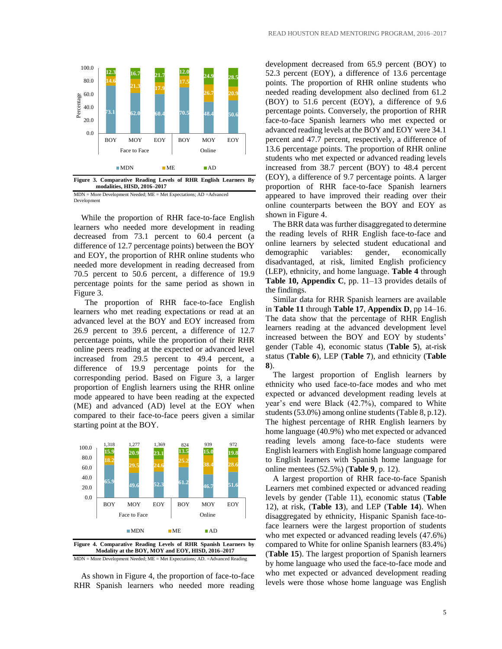

MDN = More Development Needed; ME = Met Expectations; AD =Advanced Development

While the proportion of RHR face-to-face English learners who needed more development in reading decreased from 73.1 percent to 60.4 percent (a difference of 12.7 percentage points) between the BOY and EOY, the proportion of RHR online students who needed more development in reading decreased from 70.5 percent to 50.6 percent, a difference of 19.9 percentage points for the same period as shown in Figure 3.

The proportion of RHR face-to-face English learners who met reading expectations or read at an advanced level at the BOY and EOY increased from 26.9 percent to 39.6 percent, a difference of 12.7 percentage points, while the proportion of their RHR online peers reading at the expected or advanced level increased from 29.5 percent to 49.4 percent, a difference of 19.9 percentage points for the corresponding period. Based on Figure 3, a larger proportion of English learners using the RHR online mode appeared to have been reading at the expected (ME) and advanced (AD) level at the EOY when compared to their face-to-face peers given a similar starting point at the BOY.



**Figure 4. Comparative Reading Levels of RHR Spanish Learners by Modality at the BOY, MOY and EOY, HISD, 2016–2017** MDN = More Development Needed; ME = Met Expectations; AD. =Advanced Reading

As shown in Figure 4, the proportion of face-to-face RHR Spanish learners who needed more reading

development decreased from 65.9 percent (BOY) to 52.3 percent (EOY), a difference of 13.6 percentage points. The proportion of RHR online students who needed reading development also declined from 61.2 (BOY) to 51.6 percent (EOY), a difference of 9.6 percentage points. Conversely, the proportion of RHR face-to-face Spanish learners who met expected or advanced reading levels at the BOY and EOY were 34.1 percent and 47.7 percent, respectively, a difference of 13.6 percentage points. The proportion of RHR online students who met expected or advanced reading levels increased from 38.7 percent (BOY) to 48.4 percent (EOY), a difference of 9.7 percentage points. A larger proportion of RHR face-to-face Spanish learners appeared to have improved their reading over their online counterparts between the BOY and EOY as shown in Figure 4.

The BRR data was further disaggregated to determine the reading levels of RHR English face-to-face and online learners by selected student educational and demographic variables: gender, economically disadvantaged, at risk, limited English proficiency (LEP), ethnicity, and home language. **Table 4** through **Table 10, Appendix C**, pp. 11–13 provides details of the findings.

Similar data for RHR Spanish learners are available in **Table 11** through **Table 17**, **Appendix D**, pp 14–16. The data show that the percentage of RHR English learners reading at the advanced development level increased between the BOY and EOY by students' gender (Table 4), economic status (**Table 5**), at-risk status (**Table 6**), LEP (**Table 7**), and ethnicity (**Table 8**).

The largest proportion of English learners by ethnicity who used face-to-face modes and who met expected or advanced development reading levels at year's end were Black (42.7%), compared to White students (53.0%) among online students(Table 8, p.12). The highest percentage of RHR English learners by home language (40.9%) who met expected or advanced reading levels among face-to-face students were English learners with English home language compared to English learners with Spanish home language for online mentees (52.5%) (**Table 9**, p. 12).

A largest proportion of RHR face-to-face Spanish Learners met combined expected or advanced reading levels by gender (Table 11), economic status (**Table** 12), at risk, (**Table 13**), and LEP (**Table 14**). When disaggregated by ethnicity, Hispanic Spanish face-toface learners were the largest proportion of students who met expected or advanced reading levels (47.6%) compared to White for online Spanish learners (83.4%) (**Table 15**). The largest proportion of Spanish learners by home language who used the face-to-face mode and who met expected or advanced development reading levels were those whose home language was English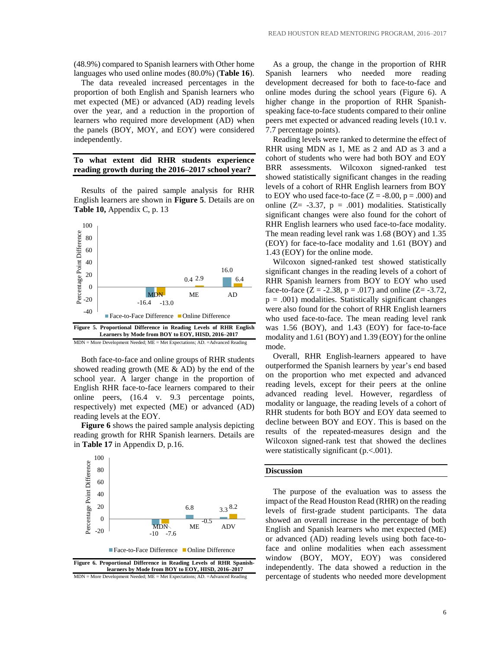(48.9%) compared to Spanish learners with Other home languages who used online modes (80.0%) (**Table 16**).

The data revealed increased percentages in the proportion of both English and Spanish learners who met expected (ME) or advanced (AD) reading levels over the year, and a reduction in the proportion of learners who required more development (AD) when the panels (BOY, MOY, and EOY) were considered independently.

#### **To what extent did RHR students experience reading growth during the 2016–2017 school year?**

Results of the paired sample analysis for RHR English learners are shown in **Figure 5**. Details are on **Table 10,** Appendix C, p. 13



MDN = More Development Needed; ME = Met Expectations; AD. =Advanced Reading

Both face-to-face and online groups of RHR students showed reading growth (ME  $\&$  AD) by the end of the school year. A larger change in the proportion of English RHR face-to-face learners compared to their online peers, (16.4 v. 9.3 percentage points, respectively) met expected (ME) or advanced (AD) reading levels at the EOY.

**Figure 6** shows the paired sample analysis depicting reading growth for RHR Spanish learners. Details are in **Table 17** in Appendix D, p.16.



**learners by Mode from BOY to EOY, HISD, 2016–2017** MDN = More Development Needed; ME = Met Expectations; AD. =Advanced Reading

As a group, the change in the proportion of RHR Spanish learners who needed more reading development decreased for both to face-to-face and online modes during the school years (Figure 6). A higher change in the proportion of RHR Spanishspeaking face-to-face students compared to their online peers met expected or advanced reading levels (10.1 v. 7.7 percentage points).

Reading levels were ranked to determine the effect of RHR using MDN as 1, ME as 2 and AD as 3 and a cohort of students who were had both BOY and EOY BRR assessments. Wilcoxon signed-ranked test showed statistically significant changes in the reading levels of a cohort of RHR English learners from BOY to EOY who used face-to-face  $(Z = -8.00, p = .000)$  and online  $(Z = -3.37, p = .001)$  modalities. Statistically significant changes were also found for the cohort of RHR English learners who used face-to-face modality. The mean reading level rank was 1.68 (BOY) and 1.35 (EOY) for face-to-face modality and 1.61 (BOY) and 1.43 (EOY) for the online mode.

Wilcoxon signed-ranked test showed statistically significant changes in the reading levels of a cohort of RHR Spanish learners from BOY to EOY who used face-to-face ( $Z = -2.38$ ,  $p = .017$ ) and online ( $Z = -3.72$ ,  $p = .001$ ) modalities. Statistically significant changes were also found for the cohort of RHR English learners who used face-to-face. The mean reading level rank was 1.56 (BOY), and 1.43 (EOY) for face-to-face modality and 1.61 (BOY) and 1.39 (EOY) for the online mode.

Overall, RHR English-learners appeared to have outperformed the Spanish learners by year's end based on the proportion who met expected and advanced reading levels, except for their peers at the online advanced reading level. However, regardless of modality or language, the reading levels of a cohort of RHR students for both BOY and EOY data seemed to decline between BOY and EOY. This is based on the results of the repeated-measures design and the Wilcoxon signed-rank test that showed the declines were statistically significant (p.<.001).

#### **Discussion**

The purpose of the evaluation was to assess the impact of the Read Houston Read (RHR) on the reading levels of first-grade student participants. The data showed an overall increase in the percentage of both English and Spanish learners who met expected (ME) or advanced (AD) reading levels using both face-toface and online modalities when each assessment window (BOY, MOY, EOY) was considered independently. The data showed a reduction in the percentage of students who needed more development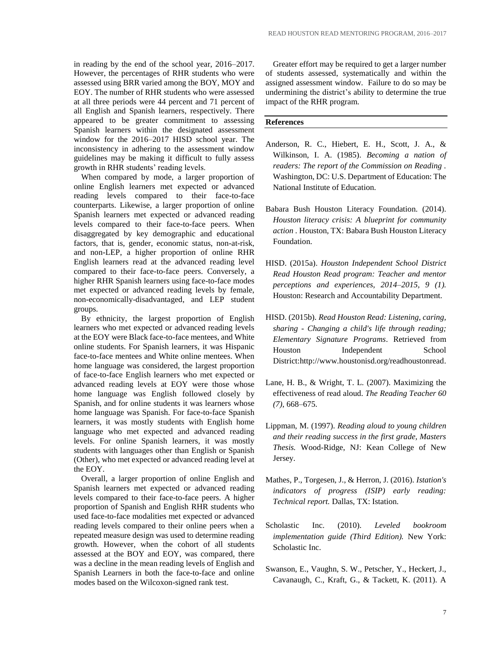in reading by the end of the school year, 2016–2017. However, the percentages of RHR students who were assessed using BRR varied among the BOY, MOY and EOY. The number of RHR students who were assessed at all three periods were 44 percent and 71 percent of all English and Spanish learners, respectively. There appeared to be greater commitment to assessing Spanish learners within the designated assessment window for the 2016–2017 HISD school year. The inconsistency in adhering to the assessment window guidelines may be making it difficult to fully assess growth in RHR students' reading levels.

When compared by mode, a larger proportion of online English learners met expected or advanced reading levels compared to their face-to-face counterparts. Likewise, a larger proportion of online Spanish learners met expected or advanced reading levels compared to their face-to-face peers. When disaggregated by key demographic and educational factors, that is, gender, economic status, non-at-risk, and non-LEP, a higher proportion of online RHR English learners read at the advanced reading level compared to their face-to-face peers. Conversely, a higher RHR Spanish learners using face-to-face modes met expected or advanced reading levels by female, non-economically-disadvantaged, and LEP student groups.

By ethnicity, the largest proportion of English learners who met expected or advanced reading levels at the EOY were Black face-to-face mentees, and White online students. For Spanish learners, it was Hispanic face-to-face mentees and White online mentees. When home language was considered, the largest proportion of face-to-face English learners who met expected or advanced reading levels at EOY were those whose home language was English followed closely by Spanish, and for online students it was learners whose home language was Spanish. For face-to-face Spanish learners, it was mostly students with English home language who met expected and advanced reading levels. For online Spanish learners, it was mostly students with languages other than English or Spanish (Other), who met expected or advanced reading level at the EOY.

Overall, a larger proportion of online English and Spanish learners met expected or advanced reading levels compared to their face-to-face peers. A higher proportion of Spanish and English RHR students who used face-to-face modalities met expected or advanced reading levels compared to their online peers when a repeated measure design was used to determine reading growth. However, when the cohort of all students assessed at the BOY and EOY, was compared, there was a decline in the mean reading levels of English and Spanish Learners in both the face-to-face and online modes based on the Wilcoxon-signed rank test.

Greater effort may be required to get a larger number of students assessed, systematically and within the assigned assessment window. Failure to do so may be undermining the district's ability to determine the true impact of the RHR program.

#### **References**

- Anderson, R. C., Hiebert, E. H., Scott, J. A., & Wilkinson, I. A. (1985). *Becoming a nation of readers: The report of the Commission on Reading .* Washington, DC: U.S. Department of Education: The National Institute of Education.
- Babara Bush Houston Literacy Foundation. (2014). *Houston literacy crisis: A blueprint for community action .* Houston, TX: Babara Bush Houston Literacy Foundation.
- HISD. (2015a). *Houston Independent School District Read Houston Read program: Teacher and mentor perceptions and experiences, 2014–2015, 9 (1).* Houston: Research and Accountability Department.
- HISD. (2015b). *Read Houston Read: Listening, caring, sharing - Changing a child's life through reading; Elementary Signature Programs*. Retrieved from Houston Independent School District:http://www.houstonisd.org/readhoustonread.
- Lane, H. B., & Wright, T. L. (2007). Maximizing the effectiveness of read aloud. *The Reading Teacher 60 (7)*, 668–675.
- Lippman, M. (1997). *Reading aloud to young children and their reading success in the first grade, Masters Thesis.* Wood-Ridge, NJ: Kean College of New Jersey.
- Mathes, P., Torgesen, J., & Herron, J. (2016). *Istation's indicators of progress (ISIP) early reading: Technical report.* Dallas, TX: Istation.
- Scholastic Inc. (2010). *Leveled bookroom implementation guide (Third Edition).* New York: Scholastic Inc.
- Swanson, E., Vaughn, S. W., Petscher, Y., Heckert, J., Cavanaugh, C., Kraft, G., & Tackett, K. (2011). A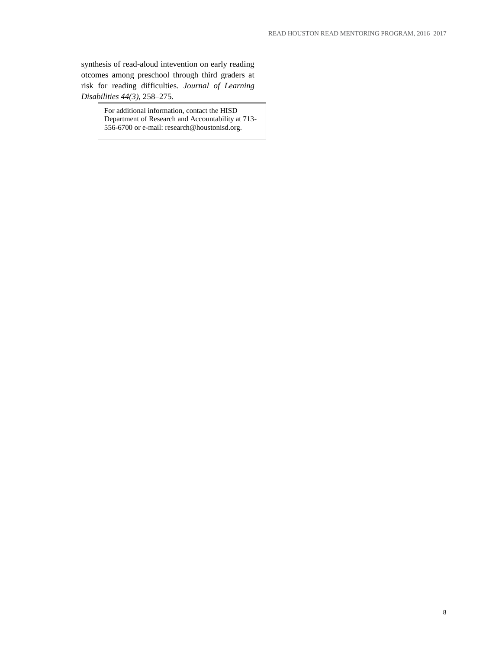synthesis of read-aloud intevention on early reading otcomes among preschool through third graders at risk for reading difficulties. *Journal of Learning Disabilities 44(3)*, 258–275.

> For additional information, contact the HISD Department of Research and Accountability at 713- 556-6700 or e-mail: research@houstonisd.org.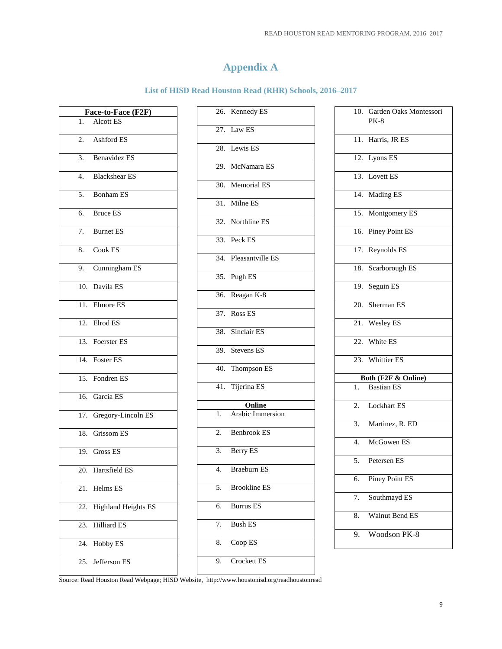## **Appendix A**

#### **List of HISD Read Houston Read (RHR) Schools, 2016–2017**

|                  | Face-to-Face (F2F)         |
|------------------|----------------------------|
| 1.               | <b>Alcott ES</b>           |
| 2.               | Ashford ES                 |
| 3.               | Benavidez ES               |
| 4.               | <b>Blackshear ES</b>       |
|                  | 5. Bonham ES               |
| б.               | <b>Bruce ES</b>            |
| $\overline{7}$ . | <b>Burnet ES</b>           |
| 8.               | Cook ES                    |
|                  | 9. Cunningham ES           |
|                  | 10. Davila ES              |
|                  | 11. Elmore ES              |
|                  | 12. Elrod ES               |
|                  | 13. Foerster ES            |
|                  | 14. Foster ES              |
|                  | 15. Fondren ES             |
|                  | 16. Garcia ES              |
|                  | 17. Gregory-Lincoln ES     |
|                  | 18. Grissom ES             |
|                  | 19. Gross ES               |
|                  | 20. Hartsfield ES          |
| 21.              | Helms ES                   |
| 22.              | <b>Highland Heights ES</b> |
| 23.              | <b>Hilliard ES</b>         |
| 24.              | Hobby ES                   |
|                  | 25. Jefferson ES           |

|    | 26. Kennedy ES       |
|----|----------------------|
|    | $27.$ Law ES         |
|    | 28. Lewis ES         |
|    | 29. McNamara ES      |
|    | 30. Memorial ES      |
|    | 31. Milne ES         |
|    | 32. Northline ES     |
|    | 33. Peck ES          |
|    | 34. Pleasantville ES |
|    | 35. Pugh ES          |
|    | 36. Reagan K-8       |
|    | 37. Ross ES          |
|    | 38. Sinclair ES      |
|    | 39. Stevens ES       |
|    | 40. Thompson ES      |
|    | 41. Tijerina ES      |
|    | Online               |
|    | 1. Arabic Immersion  |
|    | 2. Benbrook ES       |
|    |                      |
|    | 3. Berry ES          |
| 4. | Braeburn ES          |
| 5. | <b>Brookline ES</b>  |
| 6. | <b>Burrus ES</b>     |
| 7. | <b>Bush ES</b>       |
| 8. | Coop ES              |
| 9. | Crockett ES          |

|    | 10. Garden Oaks Montessori<br>PK-8 |
|----|------------------------------------|
|    | 11. Harris, JR ES                  |
|    | 12. Lyons ES                       |
|    | 13. Lovett ES                      |
|    | 14. Mading ES                      |
|    | 15. Montgomery ES                  |
|    | 16. Piney Point ES                 |
|    | 17. Reynolds ES                    |
|    | 18. Scarborough ES                 |
|    | 19. Seguin ES                      |
|    | 20. Sherman ES                     |
|    | 21. Wesley ES                      |
|    | 22. White ES                       |
|    | 23. Whittier ES                    |
|    | Both (F2F & Online)                |
|    | 1. Bastian ES                      |
|    | 2. Lockhart ES                     |
|    | 3. Martinez, R. ED                 |
|    | 4. McGowen ES                      |
|    | 5. Petersen ES                     |
| 6. | Piney Point ES                     |
| 7. | Southmayd ES                       |
| 8. | Walnut Bend ES                     |
| 9. | Woodson PK-8                       |
|    |                                    |

Source: Read Houston Read Webpage; HISD Website,<http://www.houstonisd.org/readhoustonread>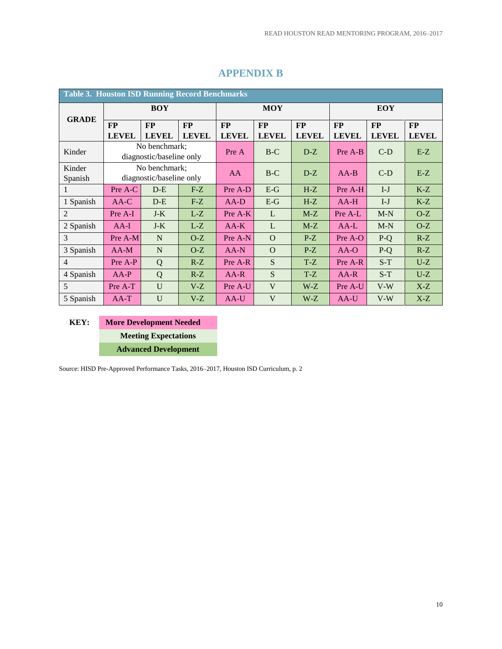| <b>Table 3. Houston ISD Running Record Benchmarks</b> |                           |                                           |                    |                           |                           |                    |                           |                           |                           |
|-------------------------------------------------------|---------------------------|-------------------------------------------|--------------------|---------------------------|---------------------------|--------------------|---------------------------|---------------------------|---------------------------|
|                                                       |                           | <b>BOY</b>                                |                    |                           | <b>MOY</b>                |                    |                           | EOY                       |                           |
| <b>GRADE</b>                                          | <b>FP</b><br><b>LEVEL</b> | FP<br><b>LEVEL</b>                        | FP<br><b>LEVEL</b> | <b>FP</b><br><b>LEVEL</b> | <b>FP</b><br><b>LEVEL</b> | FP<br><b>LEVEL</b> | <b>FP</b><br><b>LEVEL</b> | <b>FP</b><br><b>LEVEL</b> | <b>FP</b><br><b>LEVEL</b> |
| Kinder                                                |                           | No benchmark;<br>diagnostic/baseline only |                    | Pre A                     | $B-C$                     | $D-Z$              | Pre A-B                   | $C-D$                     | $E-Z$                     |
| Kinder<br>Spanish                                     |                           | No benchmark;<br>diagnostic/baseline only |                    | <b>AA</b>                 | $B-C$                     | $D-Z$              | $AA-B$                    | $C-D$                     | $E-Z$                     |
|                                                       | Pre A-C                   | $D-E$                                     | $F-Z$              | Pre A-D                   | $E-G$                     | $H-Z$              | Pre A-H                   | $I-J$                     | $K-Z$                     |
| 1 Spanish                                             | $AA-C$                    | $D-E$                                     | $F-Z$              | $AA-D$                    | $E-G$                     | $H-Z$              | $AA-H$                    | $I-J$                     | $K-Z$                     |
| $\overline{2}$                                        | Pre A-I                   | $J-K$                                     | $L-Z$              | Pre A-K                   | L                         | $M-Z$              | Pre A-L                   | $M-N$                     | $O-Z$                     |
| 2 Spanish                                             | $AA-I$                    | $J-K$                                     | $L-Z$              | $AA-K$                    | L                         | $M-Z$              | $AA-L$                    | $M-N$                     | $O-Z$                     |
| 3                                                     | Pre A-M                   | N                                         | $O-Z$              | Pre A-N                   | $\Omega$                  | $P-Z$              | Pre A-O                   | $P-Q$                     | $R-Z$                     |
| 3 Spanish                                             | $AA-M$                    | $\mathbf N$                               | $O-Z$              | $AA-N$                    | $\Omega$                  | $P-Z$              | $AA-O$                    | $P-Q$                     | $R-Z$                     |
| $\overline{4}$                                        | Pre A-P                   | Q                                         | $R-Z$              | Pre A-R                   | S                         | $T-Z$              | Pre A-R                   | $S-T$                     | $U-Z$                     |
| 4 Spanish                                             | $AA-P$                    | Q                                         | $R-Z$              | $AA-R$                    | <sub>S</sub>              | $T-Z$              | $AA-R$                    | $S-T$                     | $U-Z$                     |
| 5                                                     | U<br>Pre A-T<br>$V-Z$     |                                           |                    | Pre A-U                   | $\mathbf{V}$<br>$W-Z$     |                    | Pre A-U                   | $V-W$                     | $X-Z$                     |
| 5 Spanish                                             | $AA-T$                    | $\mathbf{U}$                              | $V-Z$              | AA-U                      | V                         | $W-Z$              | $AA-U$                    | $V-W$                     | $X-Z$                     |

## **APPENDIX B**

**KEY: More Development Needed Meeting Expectations Advanced Development** 

Source: HISD Pre-Approved Performance Tasks, 2016–2017, Houston ISD Curriculum, p. 2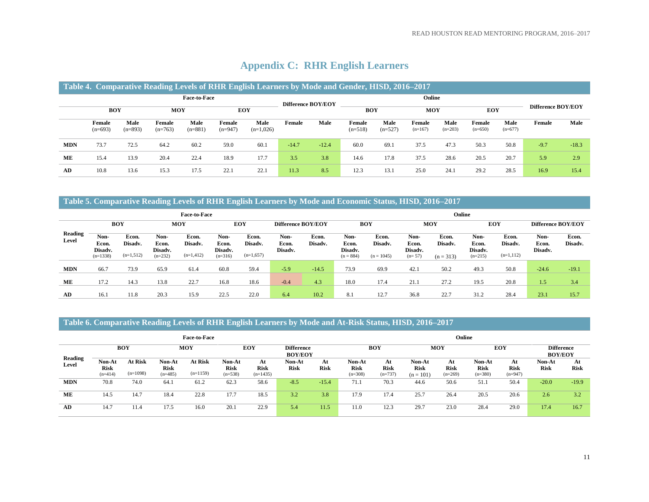|            |                     |                                 |                     |                   |                     | Table 4. Comparative Reading Levels of RHR English Learners by Mode and Gender, HISD, 2016–2017 |                    |         |                     |                   |                     |                   |                     |                   |                    |         |
|------------|---------------------|---------------------------------|---------------------|-------------------|---------------------|-------------------------------------------------------------------------------------------------|--------------------|---------|---------------------|-------------------|---------------------|-------------------|---------------------|-------------------|--------------------|---------|
|            |                     |                                 |                     | Face-to-Face      |                     |                                                                                                 | Difference BOY/EOY |         |                     |                   | Online              |                   |                     |                   |                    |         |
|            |                     | <b>EOY</b><br><b>BOY</b><br>MOY |                     |                   |                     |                                                                                                 |                    |         | <b>BOY</b>          |                   | <b>MOY</b>          |                   | <b>EOY</b>          |                   | Difference BOY/EOY |         |
|            | Female<br>$(n=693)$ | Male<br>$(n=893)$               | Female<br>$(n=763)$ | Male<br>$(n=881)$ | Female<br>$(n=947)$ | Male<br>$(n=1,026)$                                                                             | Female             | Male    | Female<br>$(n=518)$ | Male<br>$(n=527)$ | Female<br>$(n=167)$ | Male<br>$(n=203)$ | Female<br>$(n=650)$ | Male<br>$(n=677)$ | Female             | Male    |
| <b>MDN</b> | 73.7                | 72.5                            | 64.2                | 60.2              | 59.0                | 60.1                                                                                            | $-14.7$            | $-12.4$ | 60.0                | 69.1              | 37.5                | 47.3              | 50.3                | 50.8              | $-9.7$             | $-18.3$ |
| ME         | 15.4                | 13.9                            | 20.4                | 22.4              | 18.9                | 17.7                                                                                            | 3.5                | 3.8     | 14.6                | 17.8              | 37.5                | 28.6              | 20.5                | 20.7              | 5.9                | 2.9     |
| AD         | 10.8                | 13.6                            | 15.3                | 17.5              | 22.1                | 22.1                                                                                            | 11.3               | 8.5     | 12.3                | 13.1              | 25.0                | 24.1              | 29.2                | 28.5              | 16.9               | 15.4    |

## **Appendix C: RHR English Learners**

## **Table 5. Comparative Reading Levels of RHR English Learners by Mode and Economic Status, HISD, 2016–2017**

|                         |                                                |                                 |                                       | <b>Face-to-Face</b>             |                                       |                                 |                          |                  | Online                                  |                                  |                                      |                                 |                                       |                                 |                          |                  |  |
|-------------------------|------------------------------------------------|---------------------------------|---------------------------------------|---------------------------------|---------------------------------------|---------------------------------|--------------------------|------------------|-----------------------------------------|----------------------------------|--------------------------------------|---------------------------------|---------------------------------------|---------------------------------|--------------------------|------------------|--|
|                         | <b>BOY</b><br>EOY<br>MOY<br>Difference BOY/EOY |                                 |                                       |                                 |                                       |                                 |                          |                  |                                         | <b>BOY</b>                       |                                      | <b>MOY</b>                      |                                       | EOY                             | Difference BOY/EOY       |                  |  |
| <b>Reading</b><br>Level | Non-<br>Econ.<br>Disadv.<br>$(n=1338)$         | Econ.<br>Disadv.<br>$(n=1,512)$ | Non-<br>Econ.<br>Disadv.<br>$(n=232)$ | Econ.<br>Disadv.<br>$(n=1,412)$ | Non-<br>Econ.<br>Disadv.<br>$(n=316)$ | Econ.<br>Disadv.<br>$(n=1,657)$ | Non-<br>Econ.<br>Disadv. | Econ.<br>Disadv. | Non-<br>Econ.<br>Disadv.<br>$(n = 884)$ | Econ.<br>Disadv.<br>$(n = 1045)$ | Non-<br>Econ.<br>Disadv.<br>$(n=57)$ | Econ.<br>Disadv.<br>$(n = 313)$ | Non-<br>Econ.<br>Disadv.<br>$(n=215)$ | Econ.<br>Disadv.<br>$(n=1,112)$ | Non-<br>Econ.<br>Disadv. | Econ.<br>Disadv. |  |
| <b>MDN</b>              | 66.7                                           | 73.9                            | 65.9                                  | 61.4                            | 60.8                                  | 59.4                            | $-5.9$                   | $-14.5$          | 73.9                                    | 69.9                             | 42.1                                 | 50.2                            | 49.3                                  | 50.8                            | $-24.6$                  | $-19.1$          |  |
| ME                      | 17.2                                           | 14.3                            | 13.8                                  | 22.7                            | 16.8                                  | 18.6                            | $-0.4$                   | 4.3              | 18.0                                    | 17.4                             | 21.1                                 | 27.2                            | 19.5                                  | 20.8                            | 1.57                     | 3.4              |  |
| AD                      | 16.1                                           | 11.8                            | 20.3                                  | 15.9                            | 22.5                                  | 22.0                            | 6.4                      | 10.2             | 8.1                                     | 12.7                             | 36.8                                 | 22.7                            | 31.2                                  | 28.4                            | 23.1                     | 15.7             |  |

#### **Table 6. Comparative Reading Levels of RHR English Learners by Mode and At-Risk Status, HISD, 2016–2017**

|                  |                                    |                              |                                    | <b>Face-to-Face</b>   |                                    |                                 |                                     |                   | Online                             |                                |                                      |                                |                                    |                                |                                     |                   |  |  |
|------------------|------------------------------------|------------------------------|------------------------------------|-----------------------|------------------------------------|---------------------------------|-------------------------------------|-------------------|------------------------------------|--------------------------------|--------------------------------------|--------------------------------|------------------------------------|--------------------------------|-------------------------------------|-------------------|--|--|
|                  |                                    | <b>BOY</b>                   |                                    | <b>MOY</b>            |                                    | <b>EOY</b>                      | <b>Difference</b><br><b>BOY/EOY</b> |                   |                                    | <b>BOY</b>                     |                                      | MOY                            |                                    | EOY                            | <b>Difference</b><br><b>BOY/EOY</b> |                   |  |  |
| Reading<br>Level | Non-At<br><b>Risk</b><br>$(n=414)$ | <b>At Risk</b><br>$(n=1098)$ | Non-At<br><b>Risk</b><br>$(n=485)$ | At Risk<br>$(n=1159)$ | Non-At<br><b>Risk</b><br>$(n=538)$ | At<br><b>Risk</b><br>$(n=1435)$ | Non-At<br><b>Risk</b>               | At<br><b>Risk</b> | Non-At<br><b>Risk</b><br>$(n=308)$ | At<br><b>Risk</b><br>$(n=737)$ | Non-At<br><b>Risk</b><br>$(n = 101)$ | At<br><b>Risk</b><br>$(n=269)$ | Non-At<br><b>Risk</b><br>$(n=380)$ | At<br><b>Risk</b><br>$(n=947)$ | Non-At<br><b>Risk</b>               | At<br><b>Risk</b> |  |  |
| <b>MDN</b>       | 70.8                               | 74.0                         | 64.1                               | 61.2                  | 62.3                               | 58.6                            | $-8.5$                              | $-15.4$           | 71.1                               | 70.3                           | 44.6                                 | 50.6                           | 51.1                               | 50.4                           | $-20.0$                             | $-19.9$           |  |  |
| ME               | 14.5                               | 14.7                         | 18.4                               | 22.8                  | 17.7                               | 18.5                            | 3.2                                 | 3.8               | 17.9                               | 17.4                           | 25.7                                 | 26.4                           | 20.5                               | 20.6                           | 2.6                                 | 3.2               |  |  |
| AD               | 14.7                               | 11.4                         | 17.5                               | 16.0                  | 20.1                               | 22.9                            | 5.4                                 | 11.5              | 11.0                               | 12.3                           | 29.7                                 | 23.0                           | 28.4                               | 29.0                           | 17.4                                | 16.7              |  |  |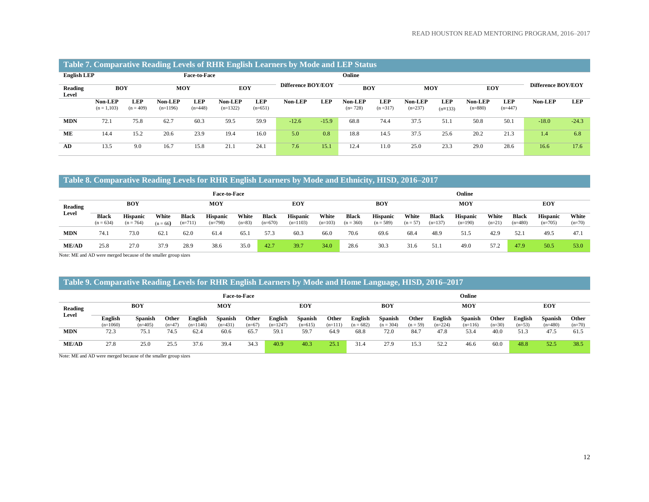#### **Table 7. Comparative Reading Levels of RHR English Learners by Mode and LEP Status**

| <b>English LEP</b> |                                                       |             |            | <b>Face-to-Face</b>     |                       |                         | Online             |            |                      |                         |                      |                         |                             |                         |                    |            |
|--------------------|-------------------------------------------------------|-------------|------------|-------------------------|-----------------------|-------------------------|--------------------|------------|----------------------|-------------------------|----------------------|-------------------------|-----------------------------|-------------------------|--------------------|------------|
| Reading<br>Level   | <b>MOY</b><br><b>BOY</b><br>LEP<br>Non-LEP<br>Non-LEP |             |            |                         | <b>EOY</b>            |                         | Difference BOY/EOY |            | <b>BOY</b>           |                         | <b>MOY</b>           |                         | <b>EOY</b>                  |                         | Difference BOY/EOY |            |
|                    | $(n = 1, 103)$                                        | $(n = 409)$ | $(n=1196)$ | <b>LEP</b><br>$(n=448)$ | Non-LEP<br>$(n=1322)$ | <b>LEP</b><br>$(n=651)$ | Non-LEP            | <b>LEP</b> | Non-LEP<br>$(n=728)$ | <b>LEP</b><br>$(n=317)$ | Non-LEP<br>$(n=237)$ | <b>LEP</b><br>$(n=133)$ | <b>Non-LEP</b><br>$(n=880)$ | <b>LEP</b><br>$(n=447)$ | Non-LEP            | <b>LEP</b> |
| <b>MDN</b>         | 72.1                                                  | 75.8        | 62.7       | 60.3                    | 59.5                  | 59.9                    | $-12.6$            | $-15.9$    | 68.8                 | 74.4                    | 37.5                 | 51.1                    | 50.8                        | 50.1                    | $-18.0$            | $-24.3$    |
| ME                 | 14.4                                                  | 15.2        | 20.6       | 23.9                    | 19.4                  | 16.0                    | 5.0                | 0.8        | 18.8                 | 14.5                    | 37.5                 | 25.6                    | 20.2                        | 21.3                    | 1.4                | 6.8        |
| AD                 | 13.5                                                  | 9.0         | 16.7       | 15.8                    | 21.1                  | 24.1                    | 7.6                | 15.1       | 12.4                 | 11.0                    | 25.0                 | 23.3                    | 29.0                        | 28.6                    | $16.6^{\circ}$     | 17.6       |

#### **Table 8. Comparative Reading Levels for RHR English Learners by Mode and Ethnicity, HISD, 2016–2017**

|              |                             |                                |                     |                           | <b>Face-to-Face</b>          |                   |                    |                               |                    |                      |                                |                     |                           | Online                       |                   |                           |                              |                   |
|--------------|-----------------------------|--------------------------------|---------------------|---------------------------|------------------------------|-------------------|--------------------|-------------------------------|--------------------|----------------------|--------------------------------|---------------------|---------------------------|------------------------------|-------------------|---------------------------|------------------------------|-------------------|
| Reading      |                             | <b>BOY</b>                     |                     |                           | <b>MOY</b>                   |                   |                    | <b>EOY</b>                    |                    |                      | <b>BOY</b>                     |                     |                           | <b>MOY</b>                   |                   |                           | <b>EOY</b>                   |                   |
| Level        | <b>Black</b><br>$(n = 634)$ | <b>Hispanic</b><br>$(n = 764)$ | White<br>$(n = 66)$ | <b>Black</b><br>$(n=711)$ | <b>Hispanic</b><br>$(n=798)$ | White<br>$(n=83)$ | Black<br>$(n=670)$ | <b>Hispanic</b><br>$(n=1103)$ | White<br>$(n=103)$ | Black<br>$(n = 360)$ | <b>Hispanic</b><br>$(n = 589)$ | White<br>$(n = 57)$ | <b>Black</b><br>$(n=137)$ | <b>Hispanic</b><br>$(n=190)$ | White<br>$(n=21)$ | <b>Black</b><br>$(n=480)$ | <b>Hispanic</b><br>$(n=705)$ | White<br>$(n=70)$ |
| <b>MDN</b>   | 74.1                        | 73.0                           | 62.1                | 62.0                      | 61.4                         | 65.1              | 57.3               | 60.3                          | 66.0               | 70.6                 | 69.6                           | 68.4                | 48.9                      | 51.5                         | 42.9              | 52.1                      | 49.5                         | 47.1              |
| <b>ME/AD</b> | 25.8                        | 27.0                           | 37.9                | 28.9                      | 38.6                         | 35.0              | 42.7               | 39.7                          | 34.0               | 28.6                 | 30.3                           | 31.6                | 51.                       | 49.0                         | 57.2              | 47.9                      | 50.5                         | 53.0              |

Note: ME and AD were merged because of the smaller group sizes

#### **Table 9. Comparative Reading Levels for RHR English Learners by Mode and Home Language, HISD, 2016–2017**

|              |                       |                             |                   |                       | <b>Face-to-Face</b>         |                   |                       |                             |                    |                               |                               |                     |                      | Online                      |                   |                     |                             |                   |  |
|--------------|-----------------------|-----------------------------|-------------------|-----------------------|-----------------------------|-------------------|-----------------------|-----------------------------|--------------------|-------------------------------|-------------------------------|---------------------|----------------------|-----------------------------|-------------------|---------------------|-----------------------------|-------------------|--|
| Reading      | <b>BOY</b>            |                             |                   |                       | <b>MOY</b>                  |                   |                       | EOY                         |                    |                               | BOY                           |                     |                      | <b>MOY</b>                  |                   |                     | EOY                         |                   |  |
| Level        | English<br>$(n=1060)$ | <b>Spanish</b><br>$(n=405)$ | Other<br>$(n=47)$ | English<br>$(n=1146)$ | <b>Spanish</b><br>$(n=431)$ | Other<br>$(n=67)$ | English<br>$(n=1247)$ | <b>Spanish</b><br>$(n=615)$ | Other<br>$(n=111)$ | <b>English</b><br>$(n = 682)$ | <b>Spanish</b><br>$(n = 304)$ | Other<br>$(n = 59)$ | English<br>$(n=224)$ | <b>Spanish</b><br>$(n=116)$ | Other<br>$(n=30)$ | English<br>$(n=53)$ | <b>Spanish</b><br>$(n=480)$ | Other<br>$(n=70)$ |  |
| <b>MDN</b>   | 72.3                  | 75.1                        | 74.5              | 62.4                  | 60.6                        | 65.7              | 59.1                  | 59.7                        | 64.9               | 68.8                          | 72.0                          | 84.7                | 47.8                 | 53.4                        | 40.0              | 51.3                | 47.5                        | 61.5              |  |
| <b>ME/AD</b> | 27.8                  | 25.0                        | 25.5              | 37.6                  | 39.4                        | 34.3              | 40.9                  | 40.3                        | 25.1               | 31.4                          | 27.9                          | 15.3                | 52.2                 | 46.6                        | 60.0              | 48.8                | 52.5                        | 38.5              |  |

Note: ME and AD were merged because of the smaller group sizes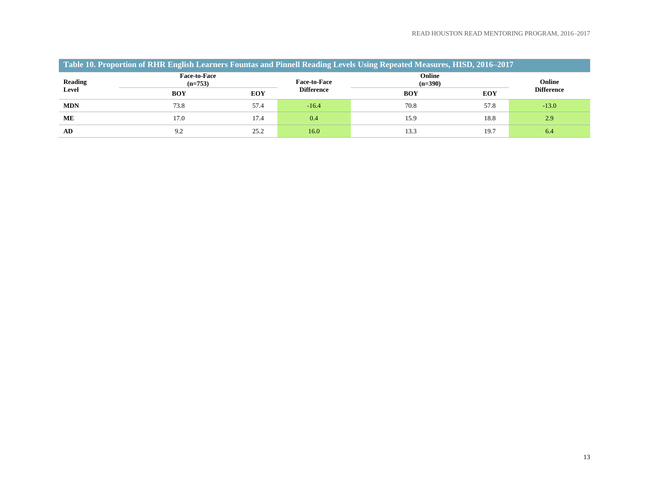| Table 10. Proportion of RHR English Learners Fountas and Pinnell Reading Levels Using Repeated Measures, HISD, 2016–2017 |                                  |            |                     |                     |            |                   |  |  |  |  |  |  |
|--------------------------------------------------------------------------------------------------------------------------|----------------------------------|------------|---------------------|---------------------|------------|-------------------|--|--|--|--|--|--|
| <b>Reading</b>                                                                                                           | <b>Face-to-Face</b><br>$(n=753)$ |            | <b>Face-to-Face</b> | Online<br>$(n=390)$ |            |                   |  |  |  |  |  |  |
| Level                                                                                                                    | BOY                              | <b>EOY</b> | <b>Difference</b>   | <b>BOY</b>          | <b>EOY</b> | <b>Difference</b> |  |  |  |  |  |  |
| <b>MDN</b>                                                                                                               | 73.8                             | 57.4       | $-16.4$             | 70.8                | 57.8       | $-13.0$           |  |  |  |  |  |  |
| ME                                                                                                                       | 17.0                             | 17.4       | 0.4                 | 15.9                | 18.8       | 2.9               |  |  |  |  |  |  |
| AD                                                                                                                       | 9.2                              | 25.2       | 16.0                | 13.3                | 19.7       | -6.4              |  |  |  |  |  |  |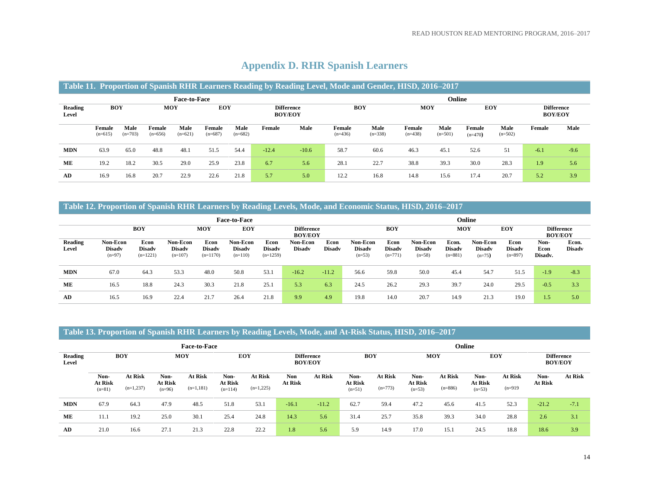|                  |                                                                               |                   |                     |                     |                     |                   |         |         | Table 11. Proportion of Spanish RHR Learners Reading by Reading Level, Mode and Gender, HISD, 2016-2017 |                   |                     |                   |                     |                   |                                     |        |
|------------------|-------------------------------------------------------------------------------|-------------------|---------------------|---------------------|---------------------|-------------------|---------|---------|---------------------------------------------------------------------------------------------------------|-------------------|---------------------|-------------------|---------------------|-------------------|-------------------------------------|--------|
|                  |                                                                               |                   |                     | <b>Face-to-Face</b> |                     |                   |         |         |                                                                                                         |                   | Online              |                   |                     |                   |                                     |        |
| Reading<br>Level | <b>BOY</b><br><b>EOY</b><br><b>MOY</b><br><b>Difference</b><br><b>BOY/EOY</b> |                   |                     |                     |                     |                   |         |         | <b>BOY</b>                                                                                              |                   | <b>MOY</b>          |                   | EOY                 |                   | <b>Difference</b><br><b>BOY/EOY</b> |        |
|                  | Female<br>$(n=615)$                                                           | Male<br>$(n=703)$ | Female<br>$(n=656)$ | Male<br>$(n=621)$   | Female<br>$(n=687)$ | Male<br>$(n=682)$ | Female  | Male    | Female<br>$(n=436)$                                                                                     | Male<br>$(n=338)$ | Female<br>$(n=438)$ | Male<br>$(n=501)$ | Female<br>$(n=470)$ | Male<br>$(n=502)$ | Female                              | Male   |
| <b>MDN</b>       | 63.9                                                                          | 65.0              | 48.8                | 48.1                | 51.5                | 54.4              | $-12.4$ | $-10.6$ | 58.7                                                                                                    | 60.6              | 46.3                | 45.1              | 52.6                | 51                | $-6.1$                              | $-9.6$ |
| ME               | 19.2                                                                          | 18.2              | 30.5                | 29.0                | 25.9                | 23.8              | 6.7     | 5.6     | 28.1                                                                                                    | 22.7              | 38.8                | 39.3              | 30.0                | 28.3              | 1.9                                 | 5.6    |
| AD               | 16.9                                                                          | 16.8              | 20.7                | 22.9                | 22.6                | 21.8              | 5.7     | 5.0     | 12.2                                                                                                    | 16.8              | 14.8                | 15.6              | 17.4                | 20.7              | 5.2                                 | 3.9    |

## **Appendix D. RHR Spanish Learners**

#### **Table 12. Proportion of Spanish RHR Learners by Reading Levels, Mode, and Economic Status, HISD, 2016–2017**

|                  |                                              | <b>Face-to-Face</b>                 |                                        |                                     |                                        |                                     |                                     |                       |                                       |                                    | Online                                |                                     |                                       |                                    |                                     |                        |  |  |  |
|------------------|----------------------------------------------|-------------------------------------|----------------------------------------|-------------------------------------|----------------------------------------|-------------------------------------|-------------------------------------|-----------------------|---------------------------------------|------------------------------------|---------------------------------------|-------------------------------------|---------------------------------------|------------------------------------|-------------------------------------|------------------------|--|--|--|
|                  | <b>BOY</b><br><b>MOY</b>                     |                                     |                                        |                                     | EOY                                    |                                     | <b>Difference</b><br><b>BOY/EOY</b> |                       |                                       | BOY                                |                                       | MOY                                 |                                       | <b>EOY</b>                         | <b>Difference</b><br><b>BOY/EOY</b> |                        |  |  |  |
| Reading<br>Level | <b>Non-Econ</b><br><b>Disadv</b><br>$(n=97)$ | Econ<br><b>Disadv</b><br>$(n=1221)$ | Non-Econ<br><b>Disady</b><br>$(n=107)$ | Econ<br><b>Disady</b><br>$(n=1170)$ | Non-Econ<br><b>Disady</b><br>$(n=110)$ | Econ<br><b>Disadv</b><br>$(n=1259)$ | <b>Non-Econ</b><br><b>Disadv</b>    | Econ<br><b>Disadv</b> | Non-Econ<br><b>Disady</b><br>$(n=53)$ | Econ<br><b>Disady</b><br>$(n=771)$ | Non-Econ<br><b>Disadv</b><br>$(n=58)$ | Econ.<br><b>Disady</b><br>$(n=881)$ | Non-Econ<br><b>Disady</b><br>$(n=75)$ | Econ<br><b>Disadv</b><br>$(n=897)$ | Non-<br>Econ<br>Disadv.             | Econ.<br><b>Disady</b> |  |  |  |
| <b>MDN</b>       | 67.0                                         | 64.3                                | 53.3                                   | 48.0                                | 50.8                                   | 53.1                                | $-16.2$                             | $-11.2$               | 56.6                                  | 59.8                               | 50.0                                  | 45.4                                | 54.7                                  | 51.5                               | $-1.9$                              | $-8.3$                 |  |  |  |
| ME               | 16.5                                         | 18.8                                | 24.3                                   | 30.3                                | 21.8                                   | 25.1                                | 5.3                                 | 6.3                   | 24.5                                  | 26.2                               | 29.3                                  | 39.7                                | 24.0                                  | 29.5                               | $-0.5$                              | 3.3                    |  |  |  |
| AD               | 16.5                                         | 16.9                                | 22.4                                   | 21.7                                | 26.4                                   | 21.8                                | 9.9                                 | 4.9                   | 19.8                                  | 14.0                               | 20.7                                  | 14.9                                | 21.3                                  | 19.0                               | 1.5                                 | 5.0                    |  |  |  |

#### **Table 13. Proportion of Spanish RHR Learners by Reading Levels, Mode, and At-Risk Status, HISD, 2016–2017**

|                  |                             |                               |                             | <b>Face-to-Face</b>           |                              |                               |                              |                                     | Online                      |                      |                             |                             |                             |                      |                                     |                |  |
|------------------|-----------------------------|-------------------------------|-----------------------------|-------------------------------|------------------------------|-------------------------------|------------------------------|-------------------------------------|-----------------------------|----------------------|-----------------------------|-----------------------------|-----------------------------|----------------------|-------------------------------------|----------------|--|
| Reading<br>Level | <b>BOY</b>                  |                               | <b>MOY</b>                  |                               | <b>EOY</b>                   |                               |                              | <b>Difference</b><br><b>BOY/EOY</b> | BOY                         |                      |                             | <b>MOY</b>                  |                             | <b>EOY</b>           | <b>Difference</b><br><b>BOY/EOY</b> |                |  |
|                  | Non-<br>At Risk<br>$(n=81)$ | <b>At Risk</b><br>$(n=1,237)$ | Non-<br>At Risk<br>$(n=96)$ | <b>At Risk</b><br>$(n=1,181)$ | Non-<br>At Risk<br>$(n=114)$ | <b>At Risk</b><br>$(n=1,225)$ | <b>Non</b><br><b>At Risk</b> | At Risk                             | Non-<br>At Risk<br>$(n=51)$ | At Risk<br>$(n=773)$ | Non-<br>At Risk<br>$(n=53)$ | <b>At Risk</b><br>$(n=886)$ | Non-<br>At Risk<br>$(n=53)$ | At Risk<br>$(n=919)$ | Non-<br><b>At Risk</b>              | <b>At Risk</b> |  |
| <b>MDN</b>       | 67.9                        | 64.3                          | 47.9                        | 48.5                          | 51.8                         | 53.1                          | $-16.1$                      | $-11.2$                             | 62.7                        | 59.4                 | 47.2                        | 45.6                        | 41.5                        | 52.3                 | $-21.2$                             | $-7.1$         |  |
| ME               | 11.1                        | 19.2                          | 25.0                        | 30.1                          | 25.4                         | 24.8                          | 14.3                         | 5.6                                 | 31.4                        | 25.7                 | 35.8                        | 39.3                        | 34.0                        | 28.8                 | 2.6                                 | 3.1            |  |
| AD               | 21.0                        | 16.6                          | 27.1                        | 21.3                          | 22.8                         | 22.2                          | 1.8                          | 5.6                                 | 5.9                         | 14.9                 | 17.0                        | 15.1                        | 24.5                        | 18.8                 | 18.6                                | 3.9            |  |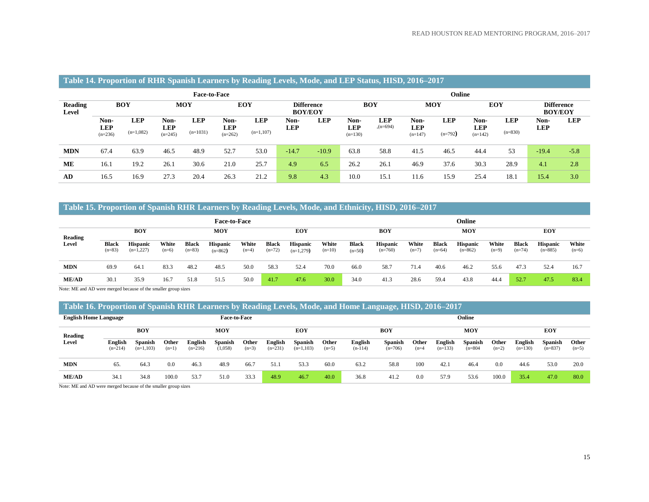|                         |                          |             |                         |                     |                         | $\overline{\phantom{0}}$ |                                     |            |                         |            |                         |            |                         |            |                                     |            |  |
|-------------------------|--------------------------|-------------|-------------------------|---------------------|-------------------------|--------------------------|-------------------------------------|------------|-------------------------|------------|-------------------------|------------|-------------------------|------------|-------------------------------------|------------|--|
|                         |                          |             |                         | <b>Face-to-Face</b> |                         |                          |                                     |            | Online                  |            |                         |            |                         |            |                                     |            |  |
| <b>Reading</b><br>Level | <b>BOY</b><br><b>MOY</b> |             |                         |                     |                         | <b>EOY</b>               | <b>Difference</b><br><b>BOY/EOY</b> |            |                         | <b>BOY</b> |                         | <b>MOY</b> |                         | <b>EOY</b> | <b>Difference</b><br><b>BOY/EOY</b> |            |  |
|                         | Non-                     | <b>LEP</b>  | Non-                    | <b>LEP</b>          | Non-                    | <b>LEP</b>               | Non-                                | <b>LEP</b> | Non-                    | <b>LEP</b> | Non-                    | <b>LEP</b> | Non-                    | <b>LEP</b> | Non-                                | <b>LEP</b> |  |
|                         | <b>LEP</b><br>$(n=236)$  | $(n=1,082)$ | <b>LEP</b><br>$(n=245)$ | $(n=1031)$          | <b>LEP</b><br>$(n=262)$ | $(n=1,107)$              | <b>LEP</b>                          |            | <b>LEP</b><br>$(n=130)$ | $(n=694)$  | <b>LEP</b><br>$(n=147)$ | $(n=792)$  | <b>LEP</b><br>$(n=142)$ | $(n=830)$  | <b>LEP</b>                          |            |  |
| <b>MDN</b>              | 67.4                     | 63.9        | 46.5                    | 48.9                | 52.7                    | 53.0                     | $-14.7$                             | $-10.9$    | 63.8                    | 58.8       | 41.5                    | 46.5       | 44.4                    | 53         | $-19.4$                             | $-5.8$     |  |
| ME                      | 16.1                     | 19.2        | 26.1                    | 30.6                | 21.0                    | 25.7                     | 4.9                                 | 6.5        | 26.2                    | 26.1       | 46.9                    | 37.6       | 30.3                    | 28.9       | 4.1                                 | 2.8        |  |
| AD                      | 16.5                     | 16.9        | 27.3                    | 20.4                | 26.3                    | 21.2                     | 9.8                                 | 4.3        | 10.0                    | 15.1       | 11.6                    | 15.9       | 25.4                    | 18.1       | 15.4                                | 3.0        |  |

#### **Table 14. Proportion of RHR Spanish Learners by Reading Levels, Mode, and LEP Status, HISD, 2016–2017**

#### **Table 15. Proportion of Spanish RHR Learners by Reading Levels, Mode, and Ethnicity, HISD, 2016–2017**

|                | <b>Face-to-Face</b>      |                                |                  |                          |                              |                  |                   |                                |                   |                          | Online                       |                  |                   |                              |                  |                          |                              |                  |  |
|----------------|--------------------------|--------------------------------|------------------|--------------------------|------------------------------|------------------|-------------------|--------------------------------|-------------------|--------------------------|------------------------------|------------------|-------------------|------------------------------|------------------|--------------------------|------------------------------|------------------|--|
| <b>Reading</b> |                          | <b>BOY</b>                     |                  | MOY                      |                              |                  | <b>EOY</b>        |                                |                   |                          | <b>BOY</b>                   |                  |                   | MOY                          |                  |                          | <b>EOY</b>                   |                  |  |
| Level          | <b>Black</b><br>$(n=83)$ | <b>Hispanic</b><br>$(n=1,227)$ | White<br>$(n=6)$ | <b>Black</b><br>$(n=83)$ | <b>Hispanic</b><br>$(n=862)$ | White<br>$(n=4)$ | Black<br>$(n=72)$ | <b>Hispanic</b><br>$(n=1,279)$ | White<br>$(n=10)$ | <b>Black</b><br>$(n=50)$ | <b>Hispanic</b><br>$(n=760)$ | White<br>$(n=7)$ | Black<br>$(n=64)$ | <b>Hispanic</b><br>$(n=862)$ | White<br>$(n=9)$ | <b>Black</b><br>$(n=74)$ | <b>Hispanic</b><br>$(n=885)$ | White<br>$(n=6)$ |  |
| <b>MDN</b>     | 69.9                     | 64.1                           | 83.3             | 48.2                     | 48.5                         | 50.0             | 58.3              | 52.4                           | 70.0              | 66.0                     | 58.7                         | 71.4             | 40.6              | 46.2                         | 55.6             | 47.3                     | 52.4                         | 16.7             |  |
| ME/AD          | 30.1                     | 35.9                           | 16.7             | 51.8                     | 51.5                         | 50.0             | 41.7              | 47.6                           | 30.0              | 34.0                     | 41.3                         | 28.6             | 59.4              | 43.8                         | 44.4             | 52.7                     | 47.5                         | 83.4             |  |

Note: ME and AD were merged because of the smaller group sizes

#### **Table 16. Proportion of Spanish RHR Learners by Reading Levels, Mode, and Home Language, HISD, 2016–2017**

| <b>English Home Language</b> |                      | <b>Face-to-Face</b>           |                  |                      |                           |                  |                      |                               |                  | Online               |                      |                  |                      |                             |                  |                             |                             |                  |
|------------------------------|----------------------|-------------------------------|------------------|----------------------|---------------------------|------------------|----------------------|-------------------------------|------------------|----------------------|----------------------|------------------|----------------------|-----------------------------|------------------|-----------------------------|-----------------------------|------------------|
| <b>Reading</b>               |                      | <b>BOY</b>                    |                  | MOY                  |                           |                  |                      | EOY                           |                  |                      | BOY                  |                  |                      | MOY                         |                  |                             | <b>EOY</b>                  |                  |
| Level                        | English<br>$(n=214)$ | <b>Spanish</b><br>$(n=1,103)$ | Other<br>$(n=1)$ | English<br>$(n=216)$ | <b>Spanish</b><br>(1,058) | Other<br>$(n=3)$ | English<br>$(n=231)$ | <b>Spanish</b><br>$(n=1,103)$ | Other<br>$(n=5)$ | English<br>$(n-114)$ | Spanish<br>$(n=706)$ | Other<br>$(n=4)$ | English<br>$(n=133)$ | <b>Spanish</b><br>$n = 804$ | Other<br>$(n=2)$ | <b>English</b><br>$(n=130)$ | <b>Spanish</b><br>$(n=837)$ | Other<br>$(n=5)$ |
| <b>MDN</b>                   | 65.                  | 64.3                          | 0.0              | 46.3                 | 48.9                      | 66.7             | 51.1                 | 53.3                          | 60.0             | 63.2                 | 58.8                 | 100              | 42.1                 | 46.4                        | 0.0              | 44.6                        | 53.0                        | 20.0             |
| ME/AD<br>.                   | 34.1                 | 34.8                          | 100.0            | 53.7                 | 51.0                      | 33.3             | 48.9                 | 46.7                          | 40.0             | 36.8                 | 41.2                 | 0.0              | 57.9                 | 53.6                        | 100.0            | 35.4                        | 47.0                        | 80.0             |

Note: ME and AD were merged because of the smaller group sizes